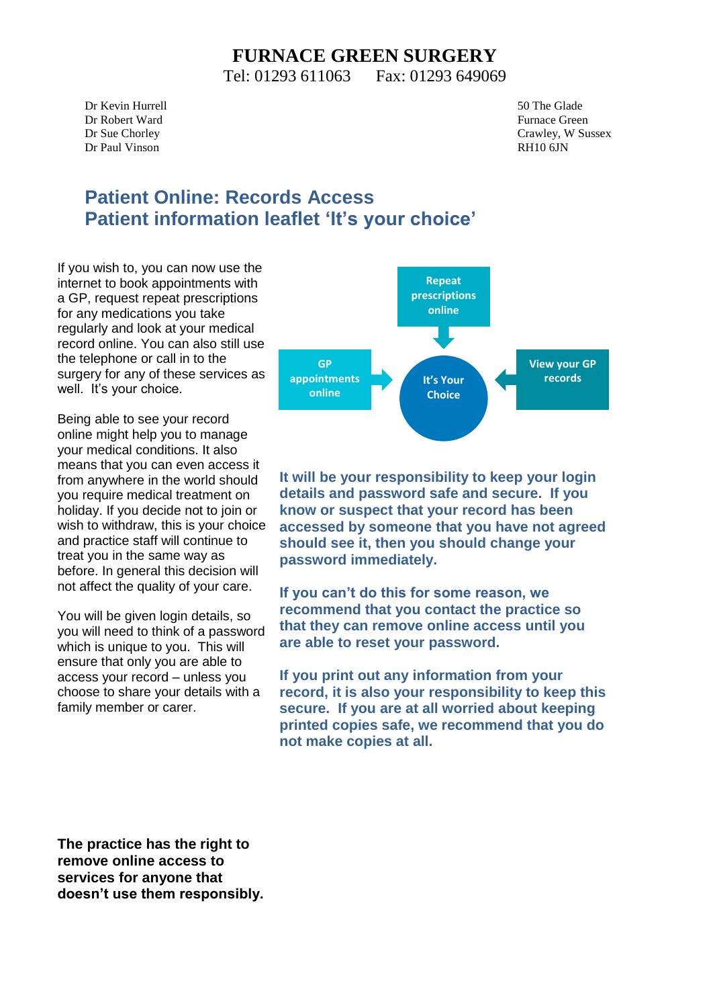## **FURNACE GREEN SURGERY**

Tel: 01293 611063 Fax: 01293 649069

Dr Kevin Hurrell 50 The Glade Dr Robert Ward Furnace Green Dr Paul Vinson RH10 6JN

Dr Sue Chorley Crawley, W Sussex

## **Patient Online: Records Access Patient information leaflet 'It's your choice'**

If you wish to, you can now use the internet to book appointments with a GP, request repeat prescriptions for any medications you take regularly and look at your medical record online. You can also still use the telephone or call in to the surgery for any of these services as well. It's your choice.

Being able to see your record online might help you to manage your medical conditions. It also means that you can even access it from anywhere in the world should you require medical treatment on holiday. If you decide not to join or wish to withdraw, this is your choice and practice staff will continue to treat you in the same way as before. In general this decision will not affect the quality of your care.

You will be given login details, so you will need to think of a password which is unique to you. This will ensure that only you are able to access your record – unless you choose to share your details with a family member or carer.



**It will be your responsibility to keep your login details and password safe and secure. If you know or suspect that your record has been accessed by someone that you have not agreed should see it, then you should change your password immediately.**

**If you can't do this for some reason, we recommend that you contact the practice so that they can remove online access until you are able to reset your password.**

**If you print out any information from your record, it is also your responsibility to keep this secure. If you are at all worried about keeping printed copies safe, we recommend that you do not make copies at all.** 

**The practice has the right to remove online access to services for anyone that doesn't use them responsibly.**